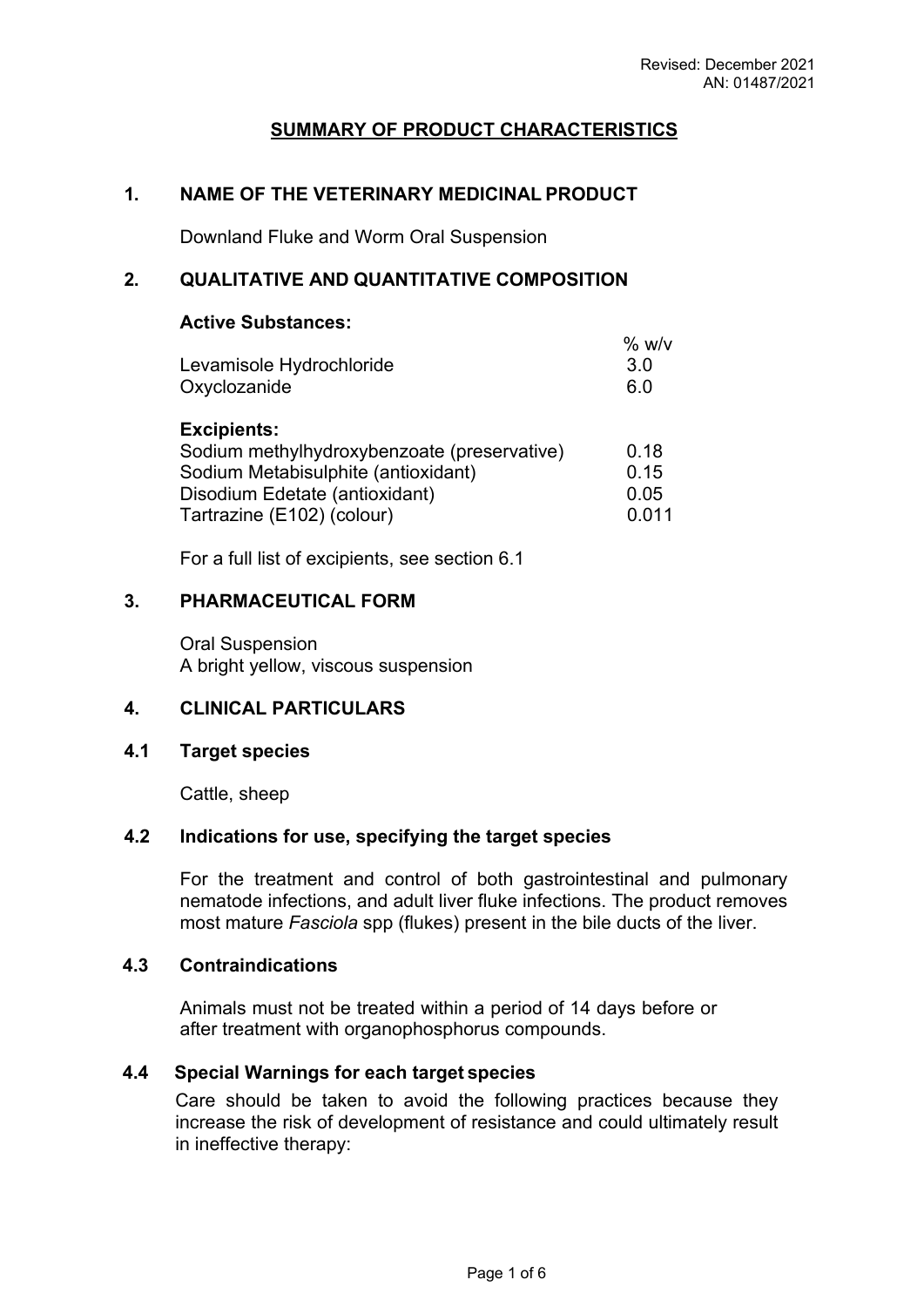# **SUMMARY OF PRODUCT CHARACTERISTICS**

# **1. NAME OF THE VETERINARY MEDICINAL PRODUCT**

Downland Fluke and Worm Oral Suspension

# **2. QUALITATIVE AND QUANTITATIVE COMPOSITION**

## **Active Substances:**

|                          | % w/v |
|--------------------------|-------|
| Levamisole Hydrochloride | 3.0   |
| Oxyclozanide             | 6 O   |

#### **Excipients:**

| Sodium methylhydroxybenzoate (preservative) | 0.18  |
|---------------------------------------------|-------|
| Sodium Metabisulphite (antioxidant)         | 0.15  |
| Disodium Edetate (antioxidant)              | 0.05  |
| Tartrazine (E102) (colour)                  | 0.011 |

For a full list of excipients, see section 6.1

## **3. PHARMACEUTICAL FORM**

Oral Suspension A bright yellow, viscous suspension

# **4. CLINICAL PARTICULARS**

## **4.1 Target species**

Cattle, sheep

## **4.2 Indications for use, specifying the target species**

For the treatment and control of both gastrointestinal and pulmonary nematode infections, and adult liver fluke infections. The product removes most mature *Fasciola* spp (flukes) present in the bile ducts of the liver.

#### **4.3 Contraindications**

Animals must not be treated within a period of 14 days before or after treatment with organophosphorus compounds.

## **4.4 Special Warnings for each target species**

Care should be taken to avoid the following practices because they increase the risk of development of resistance and could ultimately result in ineffective therapy: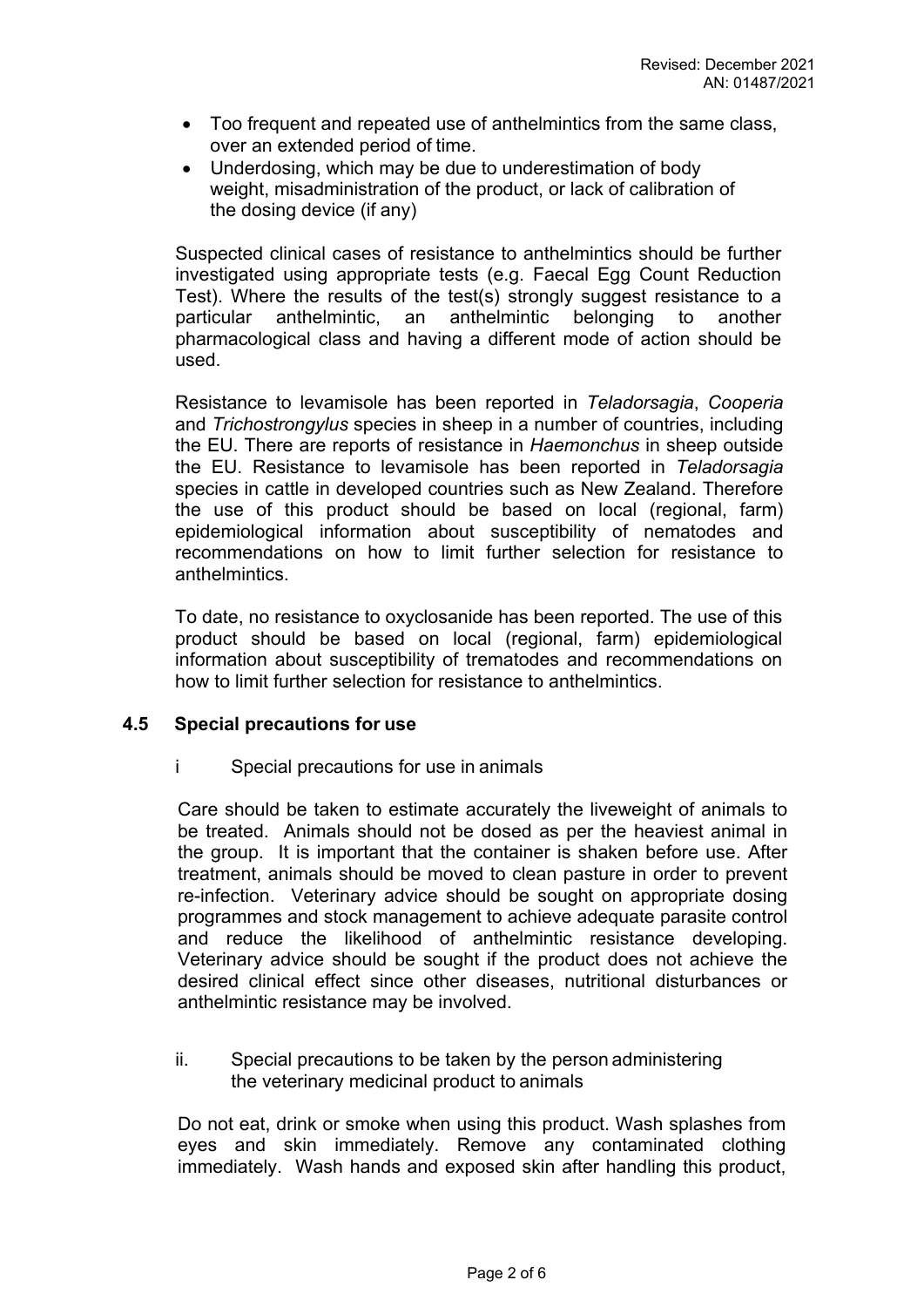- Too frequent and repeated use of anthelmintics from the same class, over an extended period of time.
- Underdosing, which may be due to underestimation of body weight, misadministration of the product, or lack of calibration of the dosing device (if any)

Suspected clinical cases of resistance to anthelmintics should be further investigated using appropriate tests (e.g. Faecal Egg Count Reduction Test). Where the results of the test(s) strongly suggest resistance to a particular anthelmintic, an anthelmintic belonging to another pharmacological class and having a different mode of action should be used.

Resistance to levamisole has been reported in *Teladorsagia*, *Cooperia*  and *Trichostrongylus* species in sheep in a number of countries, including the EU. There are reports of resistance in *Haemonchus* in sheep outside the EU. Resistance to levamisole has been reported in *Teladorsagia*  species in cattle in developed countries such as New Zealand. Therefore the use of this product should be based on local (regional, farm) epidemiological information about susceptibility of nematodes and recommendations on how to limit further selection for resistance to anthelmintics.

To date, no resistance to oxyclosanide has been reported. The use of this product should be based on local (regional, farm) epidemiological information about susceptibility of trematodes and recommendations on how to limit further selection for resistance to anthelmintics.

## **4.5 Special precautions for use**

i Special precautions for use in animals

Care should be taken to estimate accurately the liveweight of animals to be treated. Animals should not be dosed as per the heaviest animal in the group. It is important that the container is shaken before use. After treatment, animals should be moved to clean pasture in order to prevent re-infection. Veterinary advice should be sought on appropriate dosing programmes and stock management to achieve adequate parasite control and reduce the likelihood of anthelmintic resistance developing. Veterinary advice should be sought if the product does not achieve the desired clinical effect since other diseases, nutritional disturbances or anthelmintic resistance may be involved.

ii. Special precautions to be taken by the person administering the veterinary medicinal product to animals

Do not eat, drink or smoke when using this product. Wash splashes from eyes and skin immediately. Remove any contaminated clothing immediately. Wash hands and exposed skin after handling this product,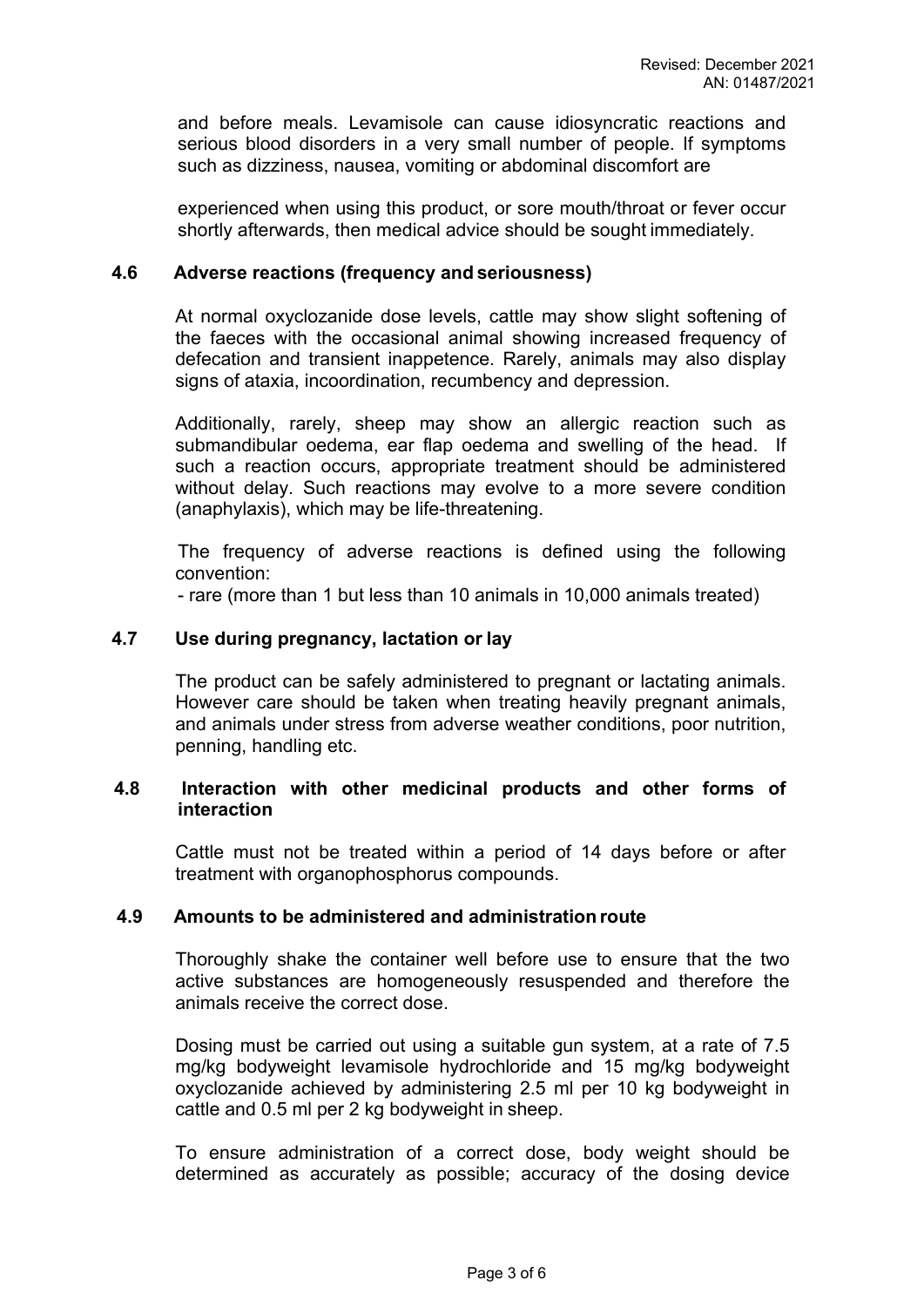and before meals. Levamisole can cause idiosyncratic reactions and serious blood disorders in a very small number of people. If symptoms such as dizziness, nausea, vomiting or abdominal discomfort are

experienced when using this product, or sore mouth/throat or fever occur shortly afterwards, then medical advice should be sought immediately.

#### **4.6 Adverse reactions (frequency and seriousness)**

At normal oxyclozanide dose levels, cattle may show slight softening of the faeces with the occasional animal showing increased frequency of defecation and transient inappetence. Rarely, animals may also display signs of ataxia, incoordination, recumbency and depression.

Additionally, rarely, sheep may show an allergic reaction such as submandibular oedema, ear flap oedema and swelling of the head. If such a reaction occurs, appropriate treatment should be administered without delay. Such reactions may evolve to a more severe condition (anaphylaxis), which may be life-threatening.

The frequency of adverse reactions is defined using the following convention:

- rare (more than 1 but less than 10 animals in 10,000 animals treated)

#### **4.7 Use during pregnancy, lactation or lay**

The product can be safely administered to pregnant or lactating animals. However care should be taken when treating heavily pregnant animals, and animals under stress from adverse weather conditions, poor nutrition, penning, handling etc.

#### **4.8 Interaction with other medicinal products and other forms of interaction**

Cattle must not be treated within a period of 14 days before or after treatment with organophosphorus compounds.

#### **4.9 Amounts to be administered and administration route**

Thoroughly shake the container well before use to ensure that the two active substances are homogeneously resuspended and therefore the animals receive the correct dose.

Dosing must be carried out using a suitable gun system, at a rate of 7.5 mg/kg bodyweight levamisole hydrochloride and 15 mg/kg bodyweight oxyclozanide achieved by administering 2.5 ml per 10 kg bodyweight in cattle and 0.5 ml per 2 kg bodyweight in sheep.

To ensure administration of a correct dose, body weight should be determined as accurately as possible; accuracy of the dosing device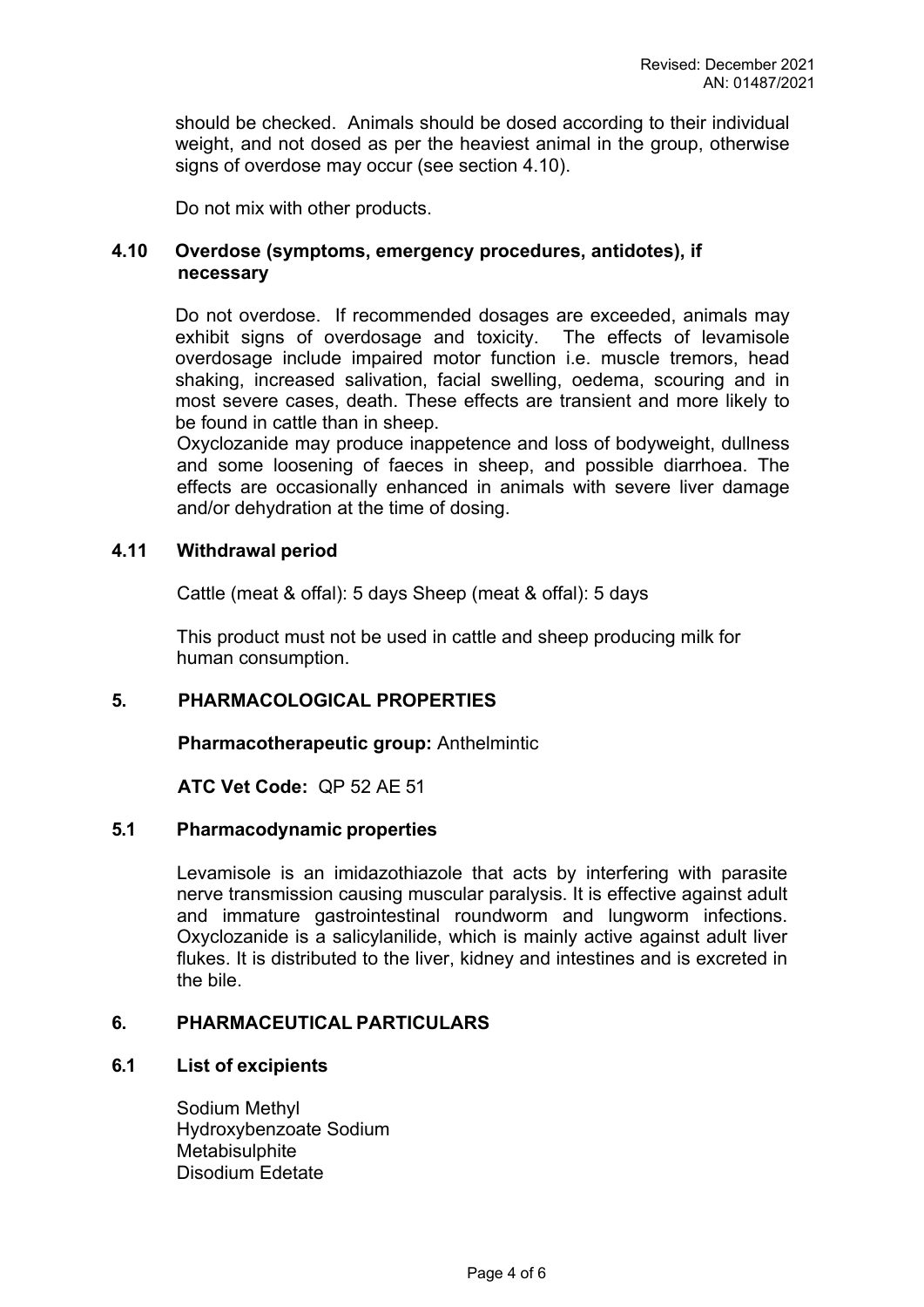should be checked. Animals should be dosed according to their individual weight, and not dosed as per the heaviest animal in the group, otherwise signs of overdose may occur (see section 4.10).

Do not mix with other products.

## **4.10 Overdose (symptoms, emergency procedures, antidotes), if necessary**

Do not overdose. If recommended dosages are exceeded, animals may exhibit signs of overdosage and toxicity. The effects of levamisole overdosage include impaired motor function i.e. muscle tremors, head shaking, increased salivation, facial swelling, oedema, scouring and in most severe cases, death. These effects are transient and more likely to be found in cattle than in sheep.

Oxyclozanide may produce inappetence and loss of bodyweight, dullness and some loosening of faeces in sheep, and possible diarrhoea. The effects are occasionally enhanced in animals with severe liver damage and/or dehydration at the time of dosing.

## **4.11 Withdrawal period**

Cattle (meat & offal): 5 days Sheep (meat & offal): 5 days

This product must not be used in cattle and sheep producing milk for human consumption.

# **5. PHARMACOLOGICAL PROPERTIES**

**Pharmacotherapeutic group:** Anthelmintic

**ATC Vet Code:** QP 52 AE 51

## **5.1 Pharmacodynamic properties**

Levamisole is an imidazothiazole that acts by interfering with parasite nerve transmission causing muscular paralysis. It is effective against adult and immature gastrointestinal roundworm and lungworm infections. Oxyclozanide is a salicylanilide, which is mainly active against adult liver flukes. It is distributed to the liver, kidney and intestines and is excreted in the bile.

## **6. PHARMACEUTICAL PARTICULARS**

#### **6.1 List of excipients**

Sodium Methyl Hydroxybenzoate Sodium **Metabisulphite** Disodium Edetate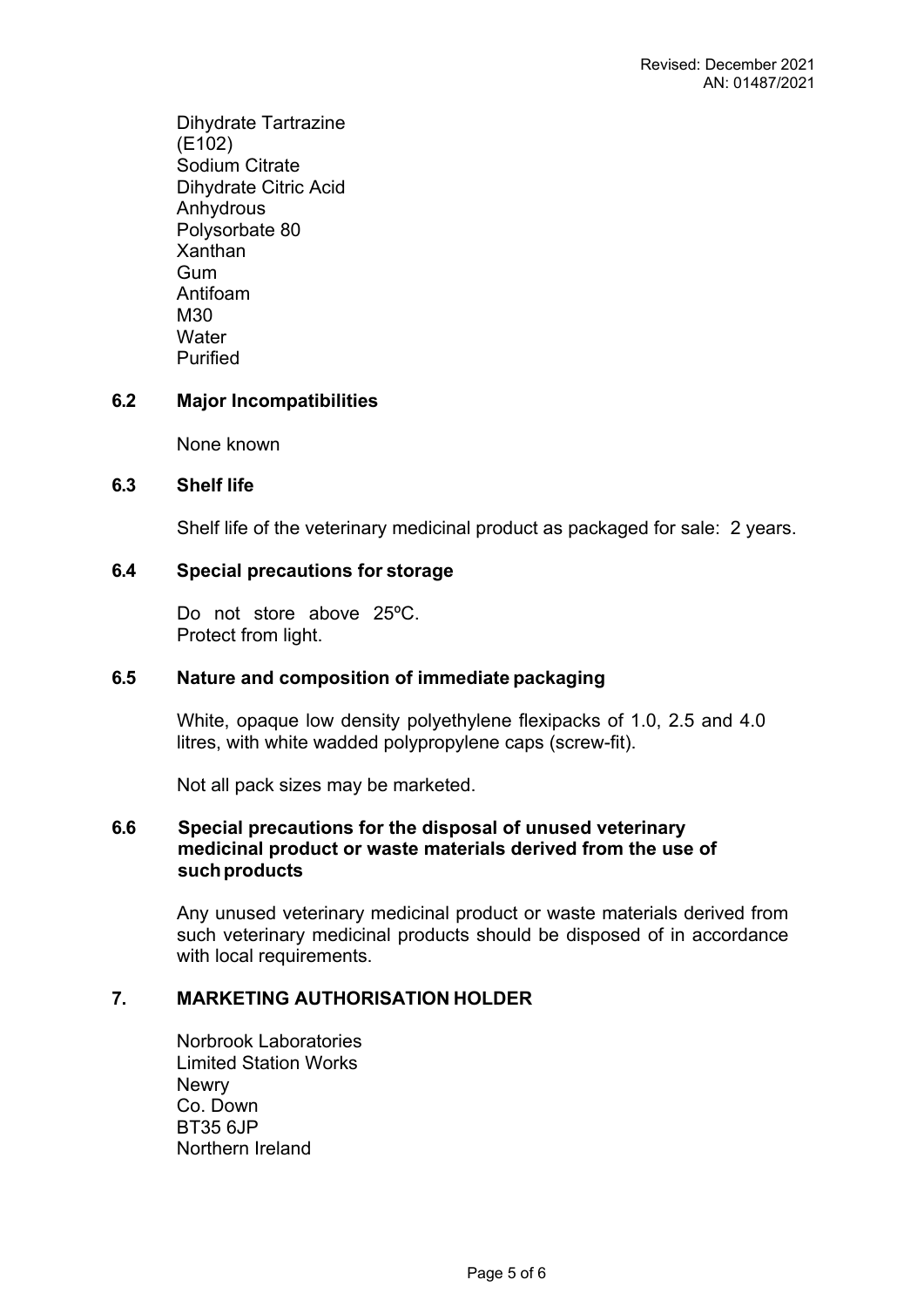Dihydrate Tartrazine (E102) Sodium Citrate Dihydrate Citric Acid **Anhydrous** Polysorbate 80 Xanthan Gum Antifoam M30 **Water** Purified

# **6.2 Major Incompatibilities**

None known

## **6.3 Shelf life**

Shelf life of the veterinary medicinal product as packaged for sale: 2 years.

# **6.4 Special precautions for storage**

Do not store above 25ºC. Protect from light.

## **6.5 Nature and composition of immediate packaging**

White, opaque low density polyethylene flexipacks of 1.0, 2.5 and 4.0 litres, with white wadded polypropylene caps (screw-fit).

Not all pack sizes may be marketed.

#### **6.6 Special precautions for the disposal of unused veterinary medicinal product or waste materials derived from the use of such products**

Any unused veterinary medicinal product or waste materials derived from such veterinary medicinal products should be disposed of in accordance with local requirements.

## **7. MARKETING AUTHORISATION HOLDER**

Norbrook Laboratories Limited Station Works **Newry** Co. Down BT35 6JP Northern Ireland